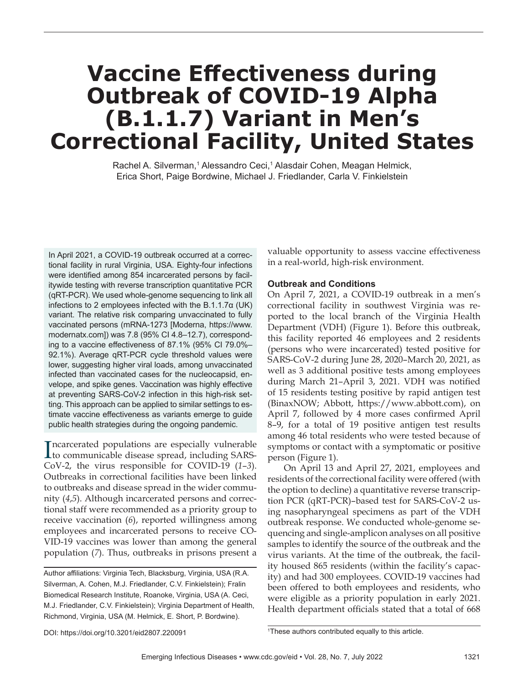# **Vaccine Effectiveness during Outbreak of COVID-19 Alpha (B.1.1.7) Variant in Men's Correctional Facility, United States**

Rachel A. Silverman,1 Alessandro Ceci,1 Alasdair Cohen, Meagan Helmick, Erica Short, Paige Bordwine, Michael J. Friedlander, Carla V. Finkielstein

In April 2021, a COVID-19 outbreak occurred at a correctional facility in rural Virginia, USA. Eighty-four infections were identified among 854 incarcerated persons by facilitywide testing with reverse transcription quantitative PCR (qRT-PCR). We used whole-genome sequencing to link all infections to 2 employees infected with the B.1.1.7α (UK) variant. The relative risk comparing unvaccinated to fully vaccinated persons (mRNA-1273 [Moderna, https://www. modernatx.com]) was 7.8 (95% CI 4.8–12.7), corresponding to a vaccine effectiveness of 87.1% (95% CI 79.0%– 92.1%). Average qRT-PCR cycle threshold values were lower, suggesting higher viral loads, among unvaccinated infected than vaccinated cases for the nucleocapsid, envelope, and spike genes. Vaccination was highly effective at preventing SARS-CoV-2 infection in this high-risk setting. This approach can be applied to similar settings to estimate vaccine effectiveness as variants emerge to guide public health strategies during the ongoing pandemic.

Incarcerated populations are especially vulnerable<br>to communicable disease spread, including SARSto communicable disease spread, including SARS-CoV-2, the virus responsible for COVID-19 (*1*–*3*). Outbreaks in correctional facilities have been linked to outbreaks and disease spread in the wider community (*4*,*5*). Although incarcerated persons and correctional staff were recommended as a priority group to receive vaccination (*6*), reported willingness among employees and incarcerated persons to receive CO-VID-19 vaccines was lower than among the general population (*7*). Thus, outbreaks in prisons present a

valuable opportunity to assess vaccine effectiveness in a real-world, high-risk environment.

## **Outbreak and Conditions**

On April 7, 2021, a COVID-19 outbreak in a men's correctional facility in southwest Virginia was reported to the local branch of the Virginia Health Department (VDH) (Figure 1). Before this outbreak, this facility reported 46 employees and 2 residents (persons who were incarcerated) tested positive for SARS-CoV-2 during June 28, 2020–March 20, 2021, as well as 3 additional positive tests among employees during March 21–April 3, 2021. VDH was notified of 15 residents testing positive by rapid antigen test (BinaxNOW; Abbott, https://www.abbott.com), on April 7, followed by 4 more cases confirmed April 8–9, for a total of 19 positive antigen test results among 46 total residents who were tested because of symptoms or contact with a symptomatic or positive person (Figure 1).

On April 13 and April 27, 2021, employees and residents of the correctional facility were offered (with the option to decline) a quantitative reverse transcription PCR (qRT-PCR)–based test for SARS-CoV-2 using nasopharyngeal specimens as part of the VDH outbreak response. We conducted whole-genome sequencing and single-amplicon analyses on all positive samples to identify the source of the outbreak and the virus variants. At the time of the outbreak, the facility housed 865 residents (within the facility's capacity) and had 300 employees. COVID-19 vaccines had been offered to both employees and residents, who were eligible as a priority population in early 2021. Health department officials stated that a total of 668

Author affiliations: Virginia Tech, Blacksburg, Virginia, USA (R.A. Silverman, A. Cohen, M.J. Friedlander, C.V. Finkielstein); Fralin Biomedical Research Institute, Roanoke, Virginia, USA (A. Ceci, M.J. Friedlander, C.V. Finkielstein); Virginia Department of Health, Richmond, Virginia, USA (M. Helmick, E. Short, P. Bordwine).

DOI: https://doi.org/10.3201/eid2807.220091 <sup>1</sup>

<sup>&</sup>lt;sup>1</sup>These authors contributed equally to this article.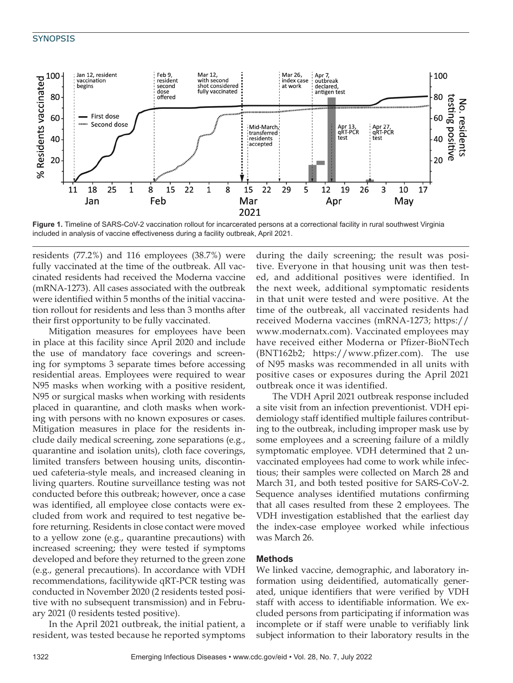## **SYNOPSIS**



Figure 1. Timeline of SARS-CoV-2 vaccination rollout for incarcerated persons at a correctional facility in rural southwest Virginia included in analysis of vaccine effectiveness during a facility outbreak, April 2021.

residents (77.2%) and 116 employees (38.7%) were fully vaccinated at the time of the outbreak. All vaccinated residents had received the Moderna vaccine (mRNA-1273). All cases associated with the outbreak were identified within 5 months of the initial vaccination rollout for residents and less than 3 months after their first opportunity to be fully vaccinated.

Mitigation measures for employees have been in place at this facility since April 2020 and include the use of mandatory face coverings and screening for symptoms 3 separate times before accessing residential areas. Employees were required to wear N95 masks when working with a positive resident, N95 or surgical masks when working with residents placed in quarantine, and cloth masks when working with persons with no known exposures or cases. Mitigation measures in place for the residents include daily medical screening, zone separations (e.g., quarantine and isolation units), cloth face coverings, limited transfers between housing units, discontinued cafeteria-style meals, and increased cleaning in living quarters. Routine surveillance testing was not conducted before this outbreak; however, once a case was identified, all employee close contacts were excluded from work and required to test negative before returning. Residents in close contact were moved to a yellow zone (e.g., quarantine precautions) with increased screening; they were tested if symptoms developed and before they returned to the green zone (e.g., general precautions). In accordance with VDH recommendations, facilitywide qRT-PCR testing was conducted in November 2020 (2 residents tested positive with no subsequent transmission) and in February 2021 (0 residents tested positive).

In the April 2021 outbreak, the initial patient, a resident, was tested because he reported symptoms

during the daily screening; the result was positive. Everyone in that housing unit was then tested, and additional positives were identified. In the next week, additional symptomatic residents in that unit were tested and were positive. At the time of the outbreak, all vaccinated residents had received Moderna vaccines (mRNA-1273; https:// www.modernatx.com). Vaccinated employees may have received either Moderna or Pfizer-BioNTech (BNT162b2; https://www.pfizer.com). The use of N95 masks was recommended in all units with positive cases or exposures during the April 2021 outbreak once it was identified.

The VDH April 2021 outbreak response included a site visit from an infection preventionist. VDH epidemiology staff identified multiple failures contributing to the outbreak, including improper mask use by some employees and a screening failure of a mildly symptomatic employee. VDH determined that 2 unvaccinated employees had come to work while infectious; their samples were collected on March 28 and March 31, and both tested positive for SARS-CoV-2. Sequence analyses identified mutations confirming that all cases resulted from these 2 employees. The VDH investigation established that the earliest day the index-case employee worked while infectious was March 26.

### **Methods**

We linked vaccine, demographic, and laboratory information using deidentified, automatically generated, unique identifiers that were verified by VDH staff with access to identifiable information. We excluded persons from participating if information was incomplete or if staff were unable to verifiably link subject information to their laboratory results in the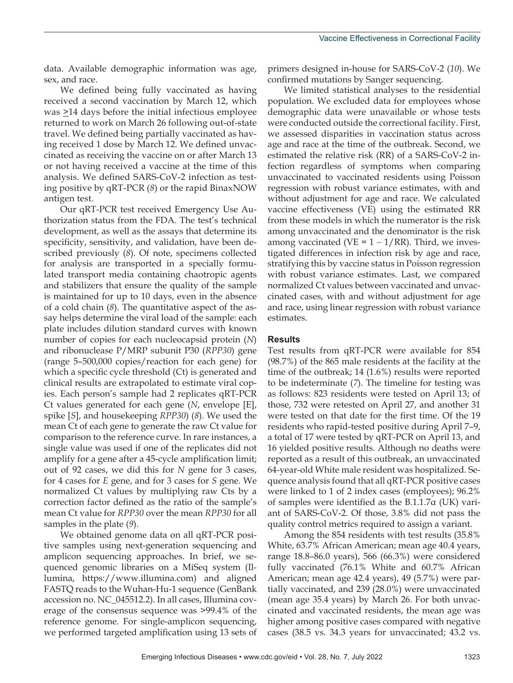data. Available demographic information was age, sex, and race.

We defined being fully vaccinated as having received a second vaccination by March 12, which was  $\geq$ 14 days before the initial infectious employee returned to work on March 26 following out-of-state travel. We defined being partially vaccinated as having received 1 dose by March 12. We defined unvaccinated as receiving the vaccine on or after March 13 or not having received a vaccine at the time of this analysis. We defined SARS-CoV-2 infection as testing positive by qRT-PCR (*8*) or the rapid BinaxNOW antigen test.

Our qRT-PCR test received Emergency Use Authorization status from the FDA. The test's technical development, as well as the assays that determine its specificity, sensitivity, and validation, have been described previously (*8*). Of note, specimens collected for analysis are transported in a specially formulated transport media containing chaotropic agents and stabilizers that ensure the quality of the sample is maintained for up to 10 days, even in the absence of a cold chain (*8*). The quantitative aspect of the assay helps determine the viral load of the sample: each plate includes dilution standard curves with known number of copies for each nucleocapsid protein (*N*) and ribonuclease P/MRP subunit P30 (*RPP30*) gene (range 5–500,000 copies/reaction for each gene) for which a specific cycle threshold (Ct) is generated and clinical results are extrapolated to estimate viral copies. Each person's sample had 2 replicates qRT-PCR Ct values generated for each gene (*N*, envelope [E], spike [*S*], and housekeeping *RPP30*) (*8*). We used the mean Ct of each gene to generate the raw Ct value for comparison to the reference curve. In rare instances, a single value was used if one of the replicates did not amplify for a gene after a 45-cycle amplification limit; out of 92 cases, we did this for *N* gene for 3 cases, for 4 cases for *E* gene, and for 3 cases for *S* gene. We normalized Ct values by multiplying raw Cts by a correction factor defined as the ratio of the sample's mean Ct value for *RPP30* over the mean *RPP30* for all samples in the plate (*9*).

We obtained genome data on all qRT-PCR positive samples using next-generation sequencing and amplicon sequencing approaches. In brief, we sequenced genomic libraries on a MiSeq system (Illumina, https://www.illumina.com) and aligned FASTQ reads to the Wuhan-Hu-1 sequence (GenBank accession no. NC\_045512.2). In all cases, Illumina coverage of the consensus sequence was >99.4% of the reference genome. For single-amplicon sequencing, we performed targeted amplification using 13 sets of

primers designed in-house for SARS-CoV-2 (*10*). We confirmed mutations by Sanger sequencing.

We limited statistical analyses to the residential population. We excluded data for employees whose demographic data were unavailable or whose tests were conducted outside the correctional facility. First, we assessed disparities in vaccination status across age and race at the time of the outbreak. Second, we estimated the relative risk (RR) of a SARS-CoV-2 infection regardless of symptoms when comparing unvaccinated to vaccinated residents using Poisson regression with robust variance estimates, with and without adjustment for age and race. We calculated vaccine effectiveness (VE) using the estimated RR from these models in which the numerator is the risk among unvaccinated and the denominator is the risk among vaccinated (VE =  $1 - 1/RR$ ). Third, we investigated differences in infection risk by age and race, stratifying this by vaccine status in Poisson regression with robust variance estimates. Last, we compared normalized Ct values between vaccinated and unvaccinated cases, with and without adjustment for age and race, using linear regression with robust variance estimates.

#### **Results**

Test results from qRT-PCR were available for 854 (98.7%) of the 865 male residents at the facility at the time of the outbreak; 14 (1.6%) results were reported to be indeterminate (*7*). The timeline for testing was as follows: 823 residents were tested on April 13; of those, 732 were retested on April 27, and another 31 were tested on that date for the first time. Of the 19 residents who rapid-tested positive during April 7–9, a total of 17 were tested by qRT-PCR on April 13, and 16 yielded positive results. Although no deaths were reported as a result of this outbreak, an unvaccinated 64-year-old White male resident was hospitalized. Sequence analysis found that all qRT-PCR positive cases were linked to 1 of 2 index cases (employees); 96.2% of samples were identified as the B.1.1.7α (UK) variant of SARS-CoV-2. Of those, 3.8% did not pass the quality control metrics required to assign a variant.

Among the 854 residents with test results (35.8% White, 63.7% African American; mean age 40.4 years, range 18.8–86.0 years), 566 (66.3%) were considered fully vaccinated (76.1% White and 60.7% African American; mean age 42.4 years), 49 (5.7%) were partially vaccinated, and 239 (28.0%) were unvaccinated (mean age 35.4 years) by March 26. For both unvaccinated and vaccinated residents, the mean age was higher among positive cases compared with negative cases (38.5 vs. 34.3 years for unvaccinated; 43.2 vs.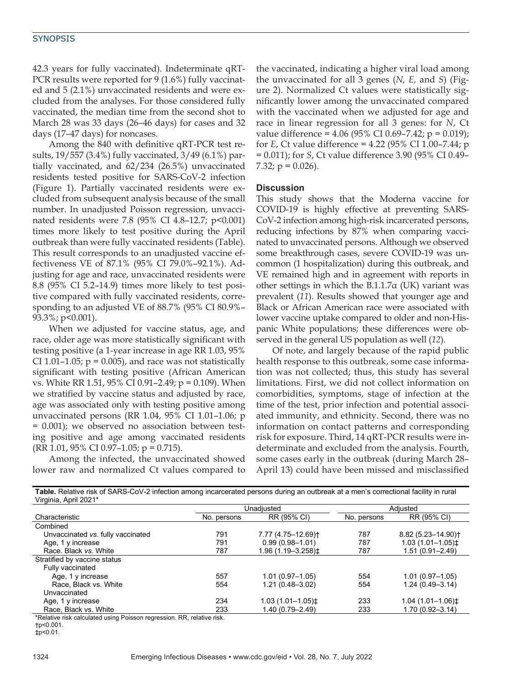#### **SYNOPSIS**

42.3 years for fully vaccinated). Indeterminate qRT-PCR results were reported for 9 (1.6%) fully vaccinated and 5 (2.1%) unvaccinated residents and were excluded from the analyses. For those considered fully vaccinated, the median time from the second shot to March 28 was 33 days (26–46 days) for cases and 32 days (17–47 days) for noncases.

Among the 840 with definitive qRT-PCR test results, 19/557 (3.4%) fully vaccinated, 3/49 (6.1%) partially vaccinated, and 62/234 (26.5%) unvaccinated residents tested positive for SARS-CoV-2 infection (Figure 1). Partially vaccinated residents were excluded from subsequent analysis because of the small number. In unadjusted Poisson regression, unvaccinated residents were 7.8 (95% CI 4.8–12.7; p<0.001) times more likely to test positive during the April outbreak than were fully vaccinated residents (Table). This result corresponds to an unadjusted vaccine effectiveness VE of 87.1% (95% CI 79.0%–92.1%). Adjusting for age and race, unvaccinated residents were 8.8 (95% CI 5.2–14.9) times more likely to test positive compared with fully vaccinated residents, corresponding to an adjusted VE of 88.7% (95% CI 80.9%– 93.3%; p<0.001).

When we adjusted for vaccine status, age, and race, older age was more statistically significant with testing positive (a 1-year increase in age RR 1.03, 95% CI 1.01–1.05;  $p = 0.005$ , and race was not statistically significant with testing positive (African American vs. White RR 1.51, 95% CI 0.91–2.49; p = 0.109). When we stratified by vaccine status and adjusted by race, age was associated only with testing positive among unvaccinated persons (RR 1.04, 95% CI 1.01–1.06; p = 0.001); we observed no association between testing positive and age among vaccinated residents  $(RR 1.01, 95\% CI 0.97-1.05; p = 0.715).$ 

Among the infected, the unvaccinated showed lower raw and normalized Ct values compared to the vaccinated, indicating a higher viral load among the unvaccinated for all 3 genes (*N, E,* and *S*) (Figure 2). Normalized Ct values were statistically significantly lower among the unvaccinated compared with the vaccinated when we adjusted for age and race in linear regression for all 3 genes: for *N*, Ct value difference =  $4.06$  (95% CI 0.69–7.42; p = 0.019); for *E*, Ct value difference = 4.22 (95% CI 1.00–7.44; p = 0.011); for *S*, Ct value difference 3.90 (95% CI 0.49– 7.32;  $p = 0.026$ ).

#### **Discussion**

This study shows that the Moderna vaccine for COVID-19 is highly effective at preventing SARS-CoV-2 infection among high-risk incarcerated persons, reducing infections by 87% when comparing vaccinated to unvaccinated persons. Although we observed some breakthrough cases, severe COVID-19 was uncommon (1 hospitalization) during this outbreak, and VE remained high and in agreement with reports in other settings in which the B.1.1.7α (UK) variant was prevalent (*11*). Results showed that younger age and Black or African American race were associated with lower vaccine uptake compared to older and non-Hispanic White populations; these differences were observed in the general US population as well (*12*).

Of note, and largely because of the rapid public health response to this outbreak, some case information was not collected; thus, this study has several limitations. First, we did not collect information on comorbidities, symptoms, stage of infection at the time of the test, prior infection and potential associated immunity, and ethnicity. Second, there was no information on contact patterns and corresponding risk for exposure. Third, 14 qRT-PCR results were indeterminate and excluded from the analysis. Fourth, some cases early in the outbreak (during March 28– April 13) could have been missed and misclassified

| Table. Relative risk of SARS-CoV-2 infection among incarcerated persons during an outbreak at a men's correctional facility in rural<br>Virginia, April 2021* |                       |             |                                |
|---------------------------------------------------------------------------------------------------------------------------------------------------------------|-----------------------|-------------|--------------------------------|
|                                                                                                                                                               |                       |             |                                |
| Unadiusted                                                                                                                                                    |                       | Adiusted    |                                |
| No. persons                                                                                                                                                   | RR (95% CI)           | No. persons | RR (95% CI)                    |
|                                                                                                                                                               |                       |             |                                |
| 791                                                                                                                                                           | 7.77 (4.75-12.69)†    | 787         | 8.82 (5.23-14.90) <sup>+</sup> |
| 791                                                                                                                                                           | $0.99(0.98 - 1.01)$   | 787         | $1.03(1.01 - 1.05)$ ±          |
| 787                                                                                                                                                           | 1.96 (1.19–3.258)±    | 787         | $1.51(0.91 - 2.49)$            |
|                                                                                                                                                               |                       |             |                                |
|                                                                                                                                                               |                       |             |                                |
| 557                                                                                                                                                           | $1.01(0.97 - 1.05)$   | 554         | $1.01(0.97 - 1.05)$            |
| 554                                                                                                                                                           | $1.21(0.48 - 3.02)$   | 554         | $1.24(0.49 - 3.14)$            |
|                                                                                                                                                               |                       |             |                                |
| 234                                                                                                                                                           | $1.03(1.01 - 1.05)$ ± | 233         | $1.04(1.01-1.06)$ ‡            |
| 233                                                                                                                                                           | $1.40(0.79 - 2.49)$   | 233         | $1.70(0.92 - 3.14)$            |
|                                                                                                                                                               |                       |             |                                |

\*Relative risk calculated using Poisson regression. RR, relative risk.

†p<0.001.

‡p<0.01.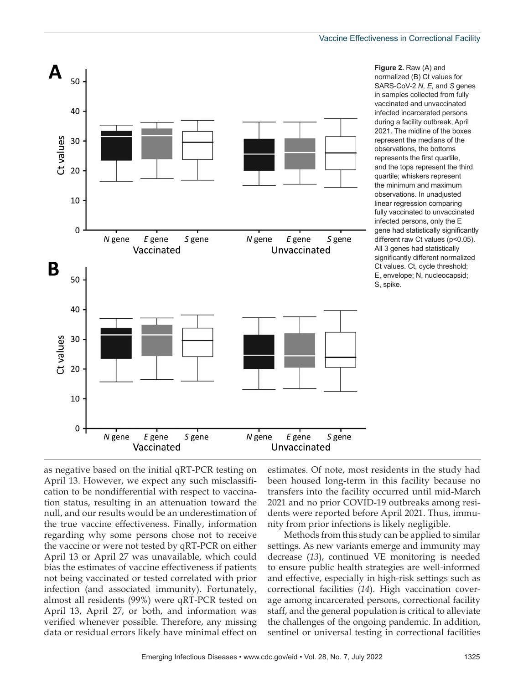

**Figure 2. Raw (A) and** normalized (B) Ct values for SARS-CoV-2 *N, E,* and *S* genes in samples collected from fully vaccinated and unvaccinated infected incarcerated persons during a facility outbreak, April 2021. The midline of the boxes represent the medians of the observations, the bottoms represents the first quartile, and the tops represent the third quartile; whiskers represent the minimum and maximum observations. In unadjusted linear regression comparing fully vaccinated to unvaccinated infected persons, only the E gene had statistically significantly different raw Ct values (p<0.05). All 3 genes had statistically significantly different normalized Ct values. Ct, cycle threshold; E, envelope; N, nucleocapsid; S, spike.

as negative based on the initial qRT-PCR testing on April 13. However, we expect any such misclassification to be nondifferential with respect to vaccination status, resulting in an attenuation toward the null, and our results would be an underestimation of the true vaccine effectiveness. Finally, information regarding why some persons chose not to receive the vaccine or were not tested by qRT-PCR on either April 13 or April 27 was unavailable, which could bias the estimates of vaccine effectiveness if patients not being vaccinated or tested correlated with prior infection (and associated immunity). Fortunately, almost all residents (99%) were qRT-PCR tested on April 13, April 27, or both, and information was verified whenever possible. Therefore, any missing data or residual errors likely have minimal effect on

estimates. Of note, most residents in the study had been housed long-term in this facility because no transfers into the facility occurred until mid-March 2021 and no prior COVID-19 outbreaks among residents were reported before April 2021. Thus, immunity from prior infections is likely negligible.

Methods from this study can be applied to similar settings. As new variants emerge and immunity may decrease (*13*), continued VE monitoring is needed to ensure public health strategies are well-informed and effective, especially in high-risk settings such as correctional facilities (*14*). High vaccination coverage among incarcerated persons, correctional facility staff, and the general population is critical to alleviate the challenges of the ongoing pandemic. In addition, sentinel or universal testing in correctional facilities